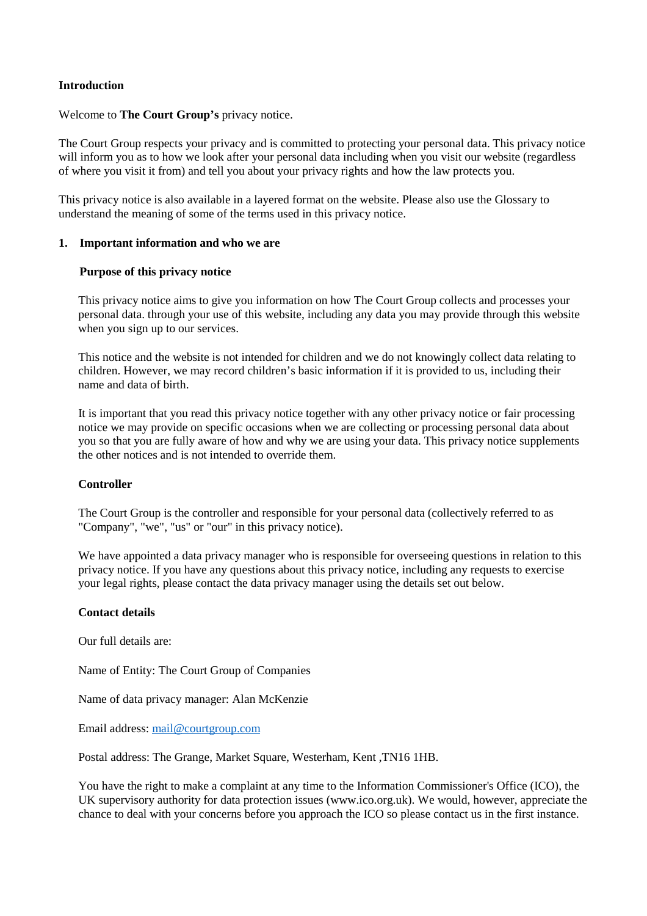## **Introduction**

Welcome to **The Court Group's** privacy notice.

The Court Group respects your privacy and is committed to protecting your personal data. This privacy notice will inform you as to how we look after your personal data including when you visit our website (regardless of where you visit it from) and tell you about your privacy rights and how the law protects you.

This privacy notice is also available in a layered format on the website. Please also use the Glossary to understand the meaning of some of the terms used in this privacy notice.

## **1. Important information and who we are**

## **Purpose of this privacy notice**

This privacy notice aims to give you information on how The Court Group collects and processes your personal data. through your use of this website, including any data you may provide through this website when you sign up to our services.

This notice and the website is not intended for children and we do not knowingly collect data relating to children. However, we may record children's basic information if it is provided to us, including their name and data of birth.

It is important that you read this privacy notice together with any other privacy notice or fair processing notice we may provide on specific occasions when we are collecting or processing personal data about you so that you are fully aware of how and why we are using your data. This privacy notice supplements the other notices and is not intended to override them.

## **Controller**

The Court Group is the controller and responsible for your personal data (collectively referred to as "Company", "we", "us" or "our" in this privacy notice).

We have appointed a data privacy manager who is responsible for overseeing questions in relation to this privacy notice. If you have any questions about this privacy notice, including any requests to exercise your legal rights, please contact the data privacy manager using the details set out below.

## **Contact details**

Our full details are:

Name of Entity: The Court Group of Companies

Name of data privacy manager: Alan McKenzie

Email address: [mail@courtgroup.com](mailto:mail@courtgroup.com)

Postal address: The Grange, Market Square, Westerham, Kent ,TN16 1HB.

You have the right to make a complaint at any time to the Information Commissioner's Office (ICO), the UK supervisory authority for data protection issues (www.ico.org.uk). We would, however, appreciate the chance to deal with your concerns before you approach the ICO so please contact us in the first instance.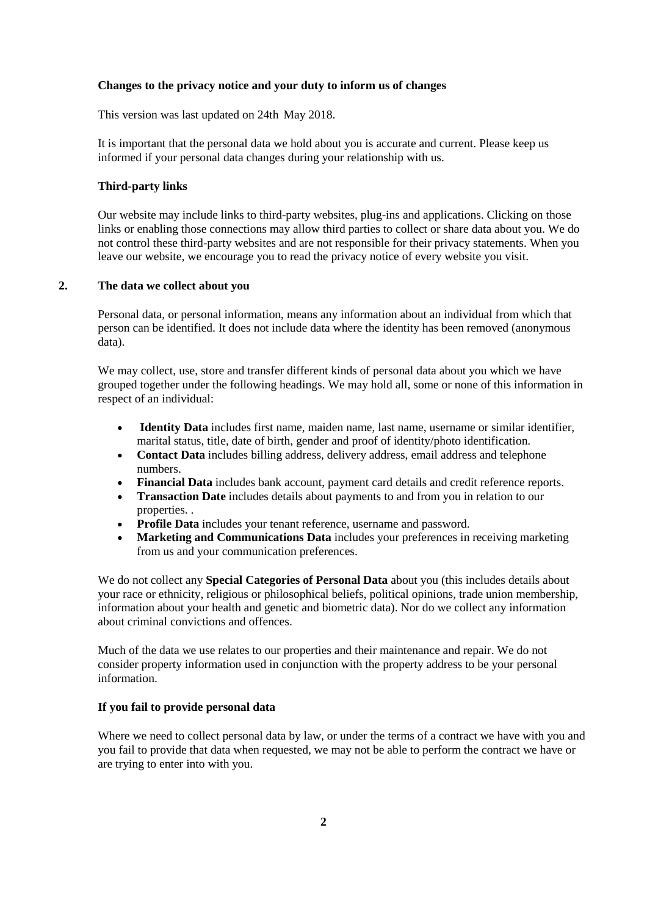#### **Changes to the privacy notice and your duty to inform us of changes**

This version was last updated on 24th May 2018.

It is important that the personal data we hold about you is accurate and current. Please keep us informed if your personal data changes during your relationship with us.

#### **Third-party links**

Our website may include links to third-party websites, plug-ins and applications. Clicking on those links or enabling those connections may allow third parties to collect or share data about you. We do not control these third-party websites and are not responsible for their privacy statements. When you leave our website, we encourage you to read the privacy notice of every website you visit.

## **2. The data we collect about you**

Personal data, or personal information, means any information about an individual from which that person can be identified. It does not include data where the identity has been removed (anonymous data).

We may collect, use, store and transfer different kinds of personal data about you which we have grouped together under the following headings. We may hold all, some or none of this information in respect of an individual:

- **Identity Data** includes first name, maiden name, last name, username or similar identifier, marital status, title, date of birth, gender and proof of identity/photo identification.
- **Contact Data** includes billing address, delivery address, email address and telephone numbers.
- **Financial Data** includes bank account, payment card details and credit reference reports.
- **Transaction Date** includes details about payments to and from you in relation to our properties. .
- **Profile Data** includes your tenant reference, username and password.
- **Marketing and Communications Data** includes your preferences in receiving marketing from us and your communication preferences.

We do not collect any **Special Categories of Personal Data** about you (this includes details about your race or ethnicity, religious or philosophical beliefs, political opinions, trade union membership, information about your health and genetic and biometric data). Nor do we collect any information about criminal convictions and offences.

Much of the data we use relates to our properties and their maintenance and repair. We do not consider property information used in conjunction with the property address to be your personal information.

### **If you fail to provide personal data**

Where we need to collect personal data by law, or under the terms of a contract we have with you and you fail to provide that data when requested, we may not be able to perform the contract we have or are trying to enter into with you.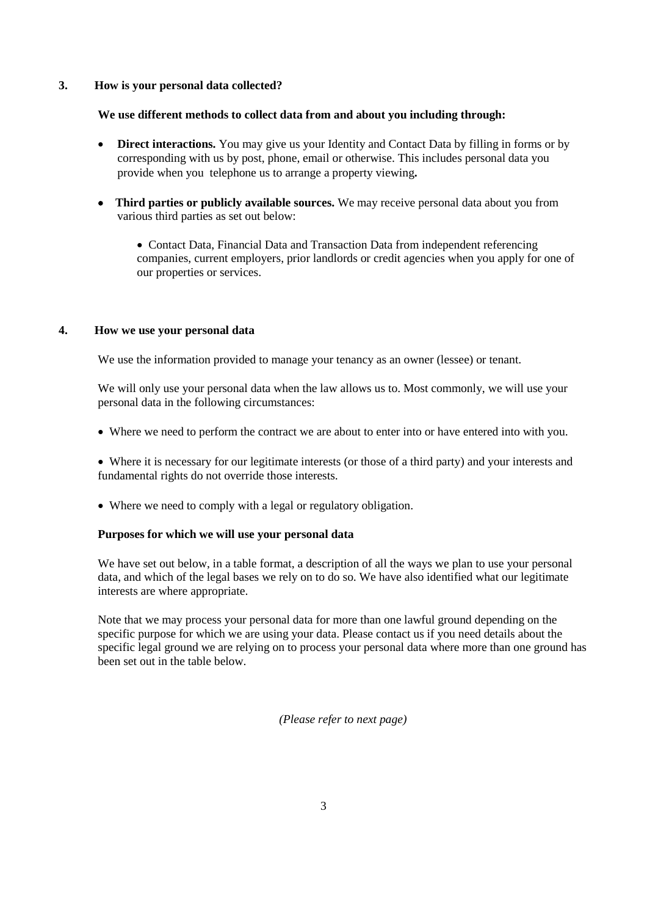## **3. How is your personal data collected?**

### **We use different methods to collect data from and about you including through:**

- **Direct interactions.** You may give us your Identity and Contact Data by filling in forms or by corresponding with us by post, phone, email or otherwise. This includes personal data you provide when you telephone us to arrange a property viewing**.**
- **Third parties or publicly available sources.** We may receive personal data about you from various third parties as set out below:

• Contact Data, Financial Data and Transaction Data from independent referencing companies, current employers, prior landlords or credit agencies when you apply for one of our properties or services.

### **4. How we use your personal data**

We use the information provided to manage your tenancy as an owner (lessee) or tenant.

We will only use your personal data when the law allows us to. Most commonly, we will use your personal data in the following circumstances:

• Where we need to perform the contract we are about to enter into or have entered into with you.

• Where it is necessary for our legitimate interests (or those of a third party) and your interests and fundamental rights do not override those interests.

• Where we need to comply with a legal or regulatory obligation.

### **Purposes for which we will use your personal data**

We have set out below, in a table format, a description of all the ways we plan to use your personal data, and which of the legal bases we rely on to do so. We have also identified what our legitimate interests are where appropriate.

Note that we may process your personal data for more than one lawful ground depending on the specific purpose for which we are using your data. Please contact us if you need details about the specific legal ground we are relying on to process your personal data where more than one ground has been set out in the table below.

*(Please refer to next page)*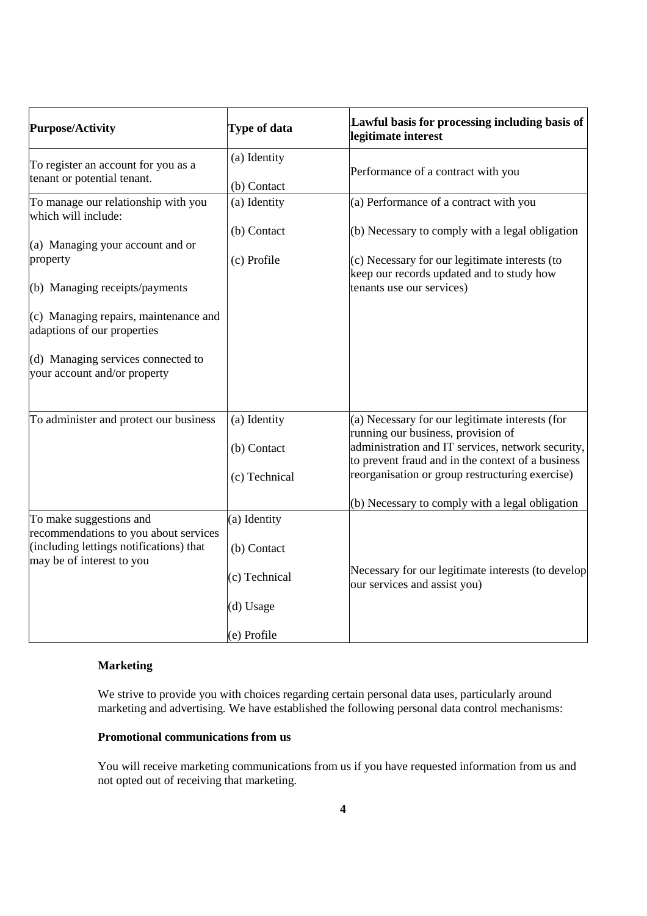| <b>Purpose/Activity</b>                                              | Type of data                | Lawful basis for processing including basis of<br>legitimate interest                                  |
|----------------------------------------------------------------------|-----------------------------|--------------------------------------------------------------------------------------------------------|
| To register an account for you as a<br>tenant or potential tenant.   | (a) Identity<br>(b) Contact | Performance of a contract with you                                                                     |
| To manage our relationship with you<br>which will include:           | (a) Identity                | (a) Performance of a contract with you                                                                 |
| (a) Managing your account and or                                     | (b) Contact                 | $($ b) Necessary to comply with a legal obligation                                                     |
| property                                                             | (c) Profile                 | $(c)$ Necessary for our legitimate interests (to<br>keep our records updated and to study how          |
| (b) Managing receipts/payments                                       |                             | tenants use our services)                                                                              |
| (c) Managing repairs, maintenance and<br>adaptions of our properties |                             |                                                                                                        |
| (d) Managing services connected to<br>your account and/or property   |                             |                                                                                                        |
| To administer and protect our business                               | (a) Identity                | (a) Necessary for our legitimate interests (for<br>running our business, provision of                  |
|                                                                      | (b) Contact                 | administration and IT services, network security,<br>to prevent fraud and in the context of a business |
|                                                                      | (c) Technical               | reorganisation or group restructuring exercise)                                                        |
|                                                                      |                             | (b) Necessary to comply with a legal obligation                                                        |
| To make suggestions and<br>recommendations to you about services     | (a) Identity                |                                                                                                        |
| (including lettings notifications) that                              | (b) Contact                 |                                                                                                        |
| may be of interest to you                                            | (c) Technical               | Necessary for our legitimate interests (to develop<br>our services and assist you)                     |
|                                                                      | (d) Usage                   |                                                                                                        |
|                                                                      | (e) Profile                 |                                                                                                        |

# **Marketing**

We strive to provide you with choices regarding certain personal data uses, particularly around marketing and advertising. We have established the following personal data control mechanisms:

# **Promotional communications from us**

You will receive marketing communications from us if you have requested information from us and not opted out of receiving that marketing.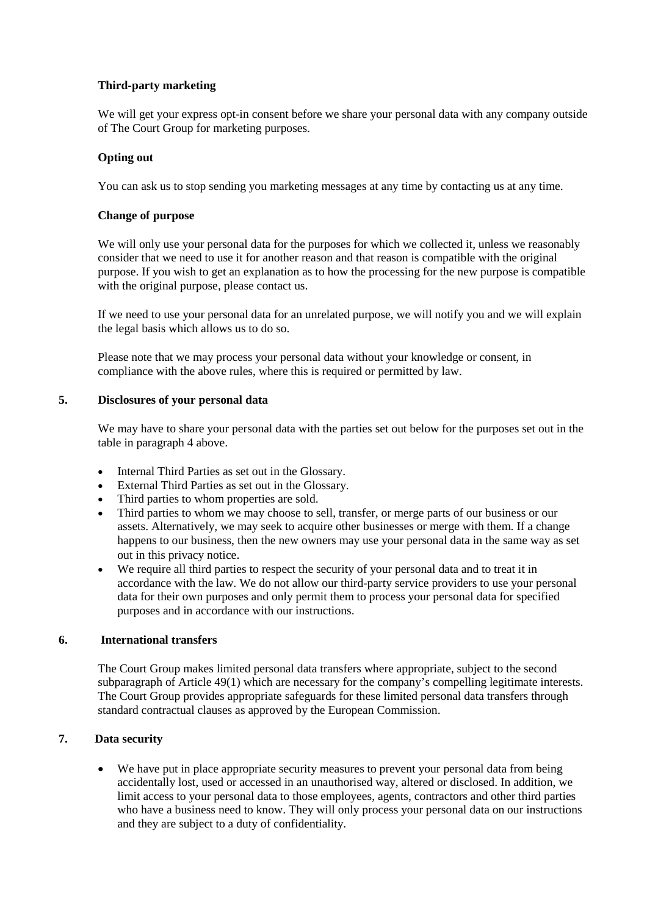## **Third-party marketing**

We will get your express opt-in consent before we share your personal data with any company outside of The Court Group for marketing purposes.

## **Opting out**

You can ask us to stop sending you marketing messages at any time by contacting us at any time.

## **Change of purpose**

We will only use your personal data for the purposes for which we collected it, unless we reasonably consider that we need to use it for another reason and that reason is compatible with the original purpose. If you wish to get an explanation as to how the processing for the new purpose is compatible with the original purpose, please contact us.

If we need to use your personal data for an unrelated purpose, we will notify you and we will explain the legal basis which allows us to do so.

Please note that we may process your personal data without your knowledge or consent, in compliance with the above rules, where this is required or permitted by law.

## **5. Disclosures of your personal data**

We may have to share your personal data with the parties set out below for the purposes set out in the table in paragraph 4 above.

- Internal Third Parties as set out in the Glossary.
- External Third Parties as set out in the Glossary.
- Third parties to whom properties are sold.
- Third parties to whom we may choose to sell, transfer, or merge parts of our business or our assets. Alternatively, we may seek to acquire other businesses or merge with them. If a change happens to our business, then the new owners may use your personal data in the same way as set out in this privacy notice.
- We require all third parties to respect the security of your personal data and to treat it in accordance with the law. We do not allow our third-party service providers to use your personal data for their own purposes and only permit them to process your personal data for specified purposes and in accordance with our instructions.

## **6. International transfers**

The Court Group makes limited personal data transfers where appropriate, subject to the second subparagraph of Article 49(1) which are necessary for the company's compelling legitimate interests. The Court Group provides appropriate safeguards for these limited personal data transfers through standard contractual clauses as approved by the European Commission.

## **7. Data security**

We have put in place appropriate security measures to prevent your personal data from being accidentally lost, used or accessed in an unauthorised way, altered or disclosed. In addition, we limit access to your personal data to those employees, agents, contractors and other third parties who have a business need to know. They will only process your personal data on our instructions and they are subject to a duty of confidentiality.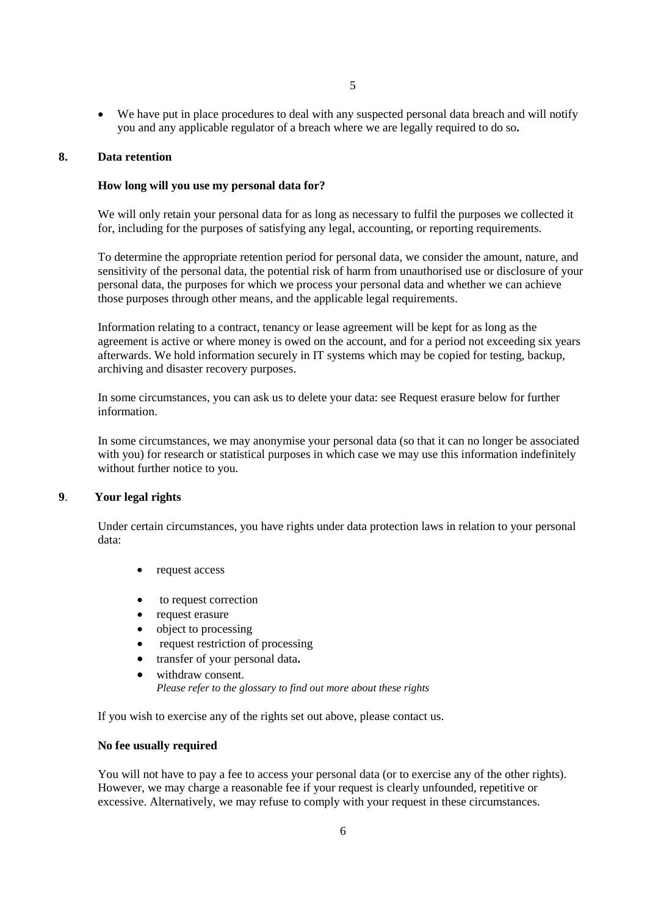### **8. Data retention**

#### **How long will you use my personal data for?**

We will only retain your personal data for as long as necessary to fulfil the purposes we collected it for, including for the purposes of satisfying any legal, accounting, or reporting requirements.

To determine the appropriate retention period for personal data, we consider the amount, nature, and sensitivity of the personal data, the potential risk of harm from unauthorised use or disclosure of your personal data, the purposes for which we process your personal data and whether we can achieve those purposes through other means, and the applicable legal requirements.

Information relating to a contract, tenancy or lease agreement will be kept for as long as the agreement is active or where money is owed on the account, and for a period not exceeding six years afterwards. We hold information securely in IT systems which may be copied for testing, backup, archiving and disaster recovery purposes.

In some circumstances, you can ask us to delete your data: see Request erasure below for further information.

In some circumstances, we may anonymise your personal data (so that it can no longer be associated with you) for research or statistical purposes in which case we may use this information indefinitely without further notice to you.

## **9**. **Your legal rights**

Under certain circumstances, you have rights under data protection laws in relation to your personal data:

- request access
- to request correction
- request erasure
- object to processing
- request restriction of processing
- transfer of your personal data**.**
- withdraw consent. *Please refer to the glossary to find out more about these rights*

If you wish to exercise any of the rights set out above, please contact us.

#### **No fee usually required**

You will not have to pay a fee to access your personal data (or to exercise any of the other rights). However, we may charge a reasonable fee if your request is clearly unfounded, repetitive or excessive. Alternatively, we may refuse to comply with your request in these circumstances.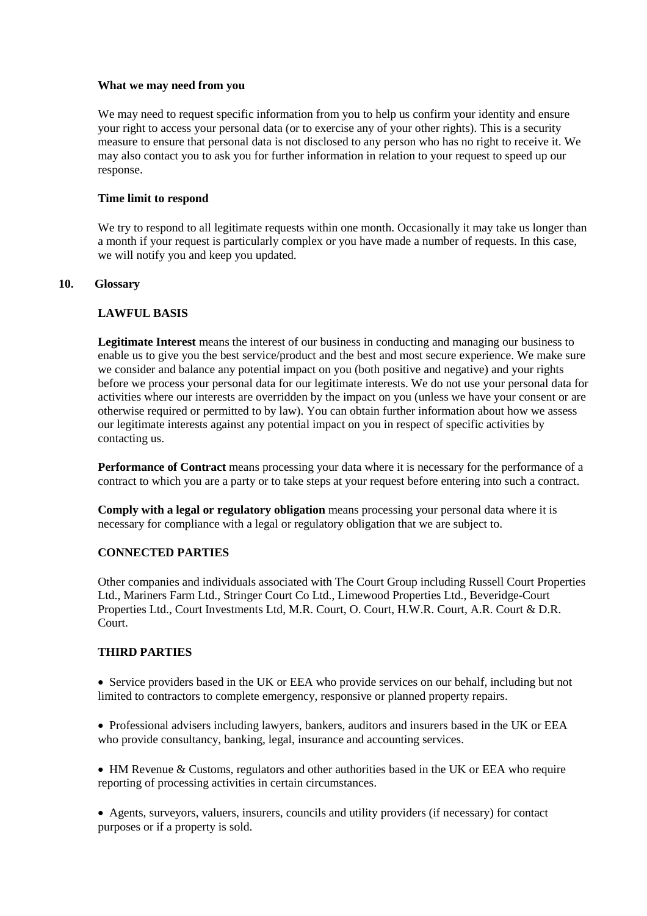### **What we may need from you**

We may need to request specific information from you to help us confirm your identity and ensure your right to access your personal data (or to exercise any of your other rights). This is a security measure to ensure that personal data is not disclosed to any person who has no right to receive it. We may also contact you to ask you for further information in relation to your request to speed up our response.

## **Time limit to respond**

We try to respond to all legitimate requests within one month. Occasionally it may take us longer than a month if your request is particularly complex or you have made a number of requests. In this case, we will notify you and keep you updated.

## **10. Glossary**

## **LAWFUL BASIS**

**Legitimate Interest** means the interest of our business in conducting and managing our business to enable us to give you the best service/product and the best and most secure experience. We make sure we consider and balance any potential impact on you (both positive and negative) and your rights before we process your personal data for our legitimate interests. We do not use your personal data for activities where our interests are overridden by the impact on you (unless we have your consent or are otherwise required or permitted to by law). You can obtain further information about how we assess our legitimate interests against any potential impact on you in respect of specific activities by contacting us.

**Performance of Contract** means processing your data where it is necessary for the performance of a contract to which you are a party or to take steps at your request before entering into such a contract.

**Comply with a legal or regulatory obligation** means processing your personal data where it is necessary for compliance with a legal or regulatory obligation that we are subject to.

## **CONNECTED PARTIES**

Other companies and individuals associated with The Court Group including Russell Court Properties Ltd., Mariners Farm Ltd., Stringer Court Co Ltd., Limewood Properties Ltd., Beveridge-Court Properties Ltd., Court Investments Ltd, M.R. Court, O. Court, H.W.R. Court, A.R. Court & D.R. Court.

# **THIRD PARTIES**

• Service providers based in the UK or EEA who provide services on our behalf, including but not limited to contractors to complete emergency, responsive or planned property repairs.

• Professional advisers including lawyers, bankers, auditors and insurers based in the UK or EEA who provide consultancy, banking, legal, insurance and accounting services.

• HM Revenue & Customs, regulators and other authorities based in the UK or EEA who require reporting of processing activities in certain circumstances.

• Agents, surveyors, valuers, insurers, councils and utility providers (if necessary) for contact purposes or if a property is sold.